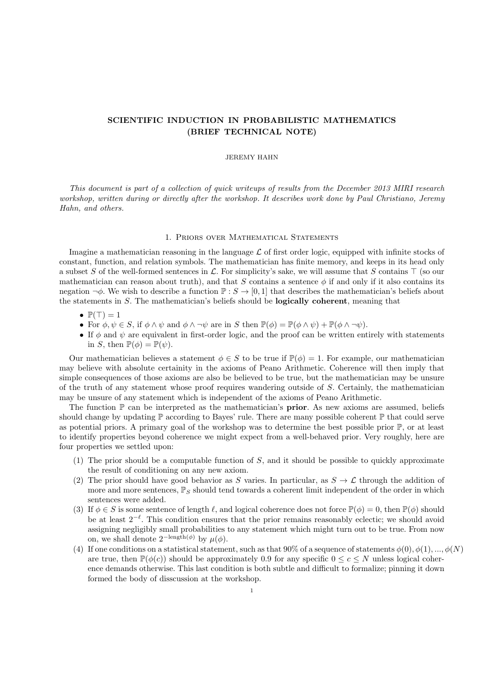# SCIENTIFIC INDUCTION IN PROBABILISTIC MATHEMATICS (BRIEF TECHNICAL NOTE)

## JEREMY HAHN

This document is part of a collection of quick writeups of results from the December 2013 MIRI research workshop, written during or directly after the workshop. It describes work done by Paul Christiano, Jeremy Hahn, and others.

## 1. Priors over Mathematical Statements

Imagine a mathematician reasoning in the language  $\mathcal L$  of first order logic, equipped with infinite stocks of constant, function, and relation symbols. The mathematician has finite memory, and keeps in its head only a subset S of the well-formed sentences in  $\mathcal L$ . For simplicity's sake, we will assume that S contains  $\top$  (so our mathematician can reason about truth), and that S contains a sentence  $\phi$  if and only if it also contains its negation  $\neg \phi$ . We wish to describe a function  $\mathbb{P}: S \to [0,1]$  that describes the mathematician's beliefs about the statements in S. The mathematician's beliefs should be logically coherent, meaning that

- $\bullet \mathbb{P}(\top) = 1$
- For  $\phi, \psi \in S$ , if  $\phi \wedge \psi$  and  $\phi \wedge \neg \psi$  are in S then  $\mathbb{P}(\phi) = \mathbb{P}(\phi \wedge \psi) + \mathbb{P}(\phi \wedge \neg \psi)$ .
- If  $\phi$  and  $\psi$  are equivalent in first-order logic, and the proof can be written entirely with statements in S, then  $\mathbb{P}(\phi) = \mathbb{P}(\psi)$ .

Our mathematician believes a statement  $\phi \in S$  to be true if  $\mathbb{P}(\phi) = 1$ . For example, our mathematician may believe with absolute certainity in the axioms of Peano Arithmetic. Coherence will then imply that simple consequences of those axioms are also be believed to be true, but the mathematician may be unsure of the truth of any statement whose proof requires wandering outside of S. Certainly, the mathematician may be unsure of any statement which is independent of the axioms of Peano Arithmetic.

The function  $\mathbb P$  can be interpreted as the mathematician's **prior**. As new axioms are assumed, beliefs should change by updating  $\mathbb P$  according to Bayes' rule. There are many possible coherent  $\mathbb P$  that could serve as potential priors. A primary goal of the workshop was to determine the best possible prior  $\mathbb{P}$ , or at least to identify properties beyond coherence we might expect from a well-behaved prior. Very roughly, here are four properties we settled upon:

- (1) The prior should be a computable function of  $S$ , and it should be possible to quickly approximate the result of conditioning on any new axiom.
- (2) The prior should have good behavior as S varies. In particular, as  $S \to \mathcal{L}$  through the addition of more and more sentences,  $\mathbb{P}_S$  should tend towards a coherent limit independent of the order in which sentences were added.
- (3) If  $\phi \in S$  is some sentence of length  $\ell$ , and logical coherence does not force  $\mathbb{P}(\phi) = 0$ , then  $\mathbb{P}(\phi)$  should be at least 2<sup>- $\ell$ </sup>. This condition ensures that the prior remains reasonably eclectic; we should avoid assigning negligibly small probabilities to any statement which might turn out to be true. From now on, we shall denote  $2^{-\text{length}(\phi)}$  by  $\mu(\phi)$ .
- (4) If one conditions on a statistical statement, such as that 90% of a sequence of statements  $\phi(0), \phi(1), ..., \phi(N)$ are true, then  $\mathbb{P}(\phi(c))$  should be approximately 0.9 for any specific  $0 \leq c \leq N$  unless logical coherence demands otherwise. This last condition is both subtle and difficult to formalize; pinning it down formed the body of disscussion at the workshop.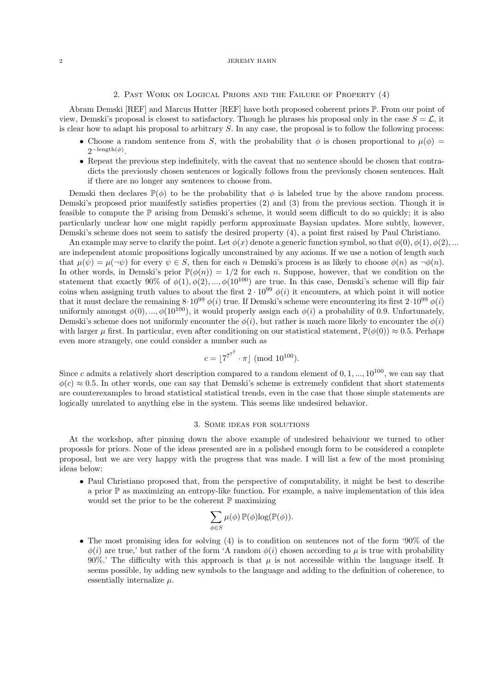### 2 JEREMY HAHN

## 2. Past Work on Logical Priors and the Failure of Property (4)

Abram Demski [REF] and Marcus Hutter [REF] have both proposed coherent priors P. From our point of view, Demski's proposal is closest to satisfactory. Though he phrases his proposal only in the case  $S = \mathcal{L}$ , it is clear how to adapt his proposal to arbitrary S. In any case, the proposal is to follow the following process:

- Choose a random sentence from S, with the probability that  $\phi$  is chosen proportional to  $\mu(\phi)$  =  $2^{-\operatorname{length}(\phi)}$ .
- Repeat the previous step indefinitely, with the caveat that no sentence should be chosen that contradicts the previously chosen sentences or logically follows from the previously chosen sentences. Halt if there are no longer any sentences to choose from.

Demski then declares  $\mathbb{P}(\phi)$  to be the probability that  $\phi$  is labeled true by the above random process. Demski's proposed prior manifestly satisfies properties (2) and (3) from the previous section. Though it is feasible to compute the P arising from Demski's scheme, it would seem difficult to do so quickly; it is also particularly unclear how one might rapidly perform approximate Baysian updates. More subtly, however, Demski's scheme does not seem to satisfy the desired property (4), a point first raised by Paul Christiano.

An example may serve to clarify the point. Let  $\phi(x)$  denote a generic function symbol, so that  $\phi(0), \phi(1), \phi(2), ...$ are independent atomic propositions logically unconstrained by any axioms. If we use a notion of length such that  $\mu(\psi) = \mu(\neg \psi)$  for every  $\psi \in S$ , then for each n Demski's process is as likely to choose  $\phi(n)$  as  $\neg \phi(n)$ . In other words, in Demski's prior  $\mathbb{P}(\phi(n)) = 1/2$  for each n. Suppose, however, that we condition on the statement that exactly 90% of  $\phi(1), \phi(2), ..., \phi(10^{100})$  are true. In this case, Demski's scheme will flip fair coins when assigning truth values to about the first  $2 \cdot 10^{99} \phi(i)$  it encounters, at which point it will notice that it must declare the remaining  $8.10^{99} \phi(i)$  true. If Demski's scheme were encountering its first  $2.10^{99} \phi(i)$ uniformly amongst  $\phi(0), ..., \phi(10^{100})$ , it would properly assign each  $\phi(i)$  a probability of 0.9. Unfortunately, Demski's scheme does not uniformly encounter the  $\phi(i)$ , but rather is much more likely to encounter the  $\phi(i)$ with larger  $\mu$  first. In particular, even after conditioning on our statistical statement,  $\mathbb{P}(\phi(0)) \approx 0.5$ . Perhaps even more strangely, one could consider a number such as

$$
c = \lfloor 7^{7^{7}} \cdot \pi \rfloor \; (\text{mod } 10^{100}).
$$

Since c admits a relatively short description compared to a random element of  $0, 1, ..., 10^{100}$ , we can say that  $\phi(c) \approx 0.5$ . In other words, one can say that Demski's scheme is extremely confident that short statements are counterexamples to broad statistical statistical trends, even in the case that those simple statements are logically unrelated to anything else in the system. This seems like undesired behavior.

#### 3. Some ideas for solutions

At the workshop, after pinning down the above example of undesired behaiviour we turned to other proposals for priors. None of the ideas presented are in a polished enough form to be considered a complete proposal, but we are very happy with the progress that was made. I will list a few of the most promising ideas below:

• Paul Christiano proposed that, from the perspective of computability, it might be best to describe a prior P as maximizing an entropy-like function. For example, a naive implementation of this idea would set the prior to be the coherent  $\mathbb P$  maximizing

$$
\sum_{\phi \in S} \mu(\phi) \, \mathbb{P}(\phi) \log(\mathbb{P}(\phi)).
$$

• The most promising idea for solving (4) is to condition on sentences not of the form '90% of the  $\phi(i)$  are true,' but rather of the form 'A random  $\phi(i)$  chosen according to  $\mu$  is true with probability 90%.' The difficulty with this approach is that  $\mu$  is not accessible within the language itself. It seems possible, by adding new symbols to the language and adding to the definition of coherence, to essentially internalize  $\mu$ .